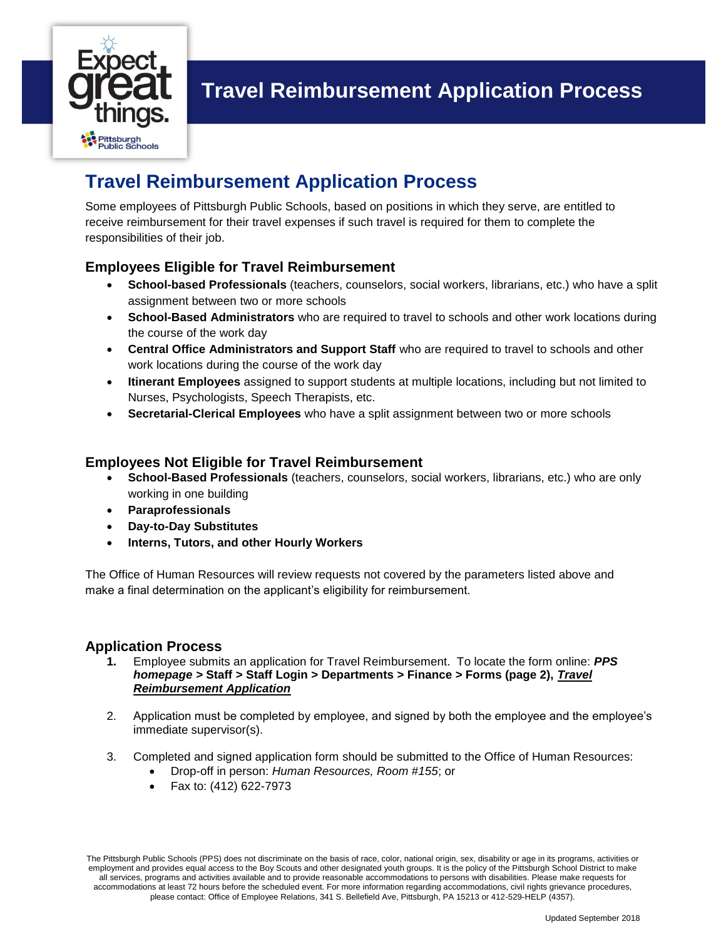

## **Travel Reimbursement Application Process**

Some employees of Pittsburgh Public Schools, based on positions in which they serve, are entitled to receive reimbursement for their travel expenses if such travel is required for them to complete the responsibilities of their job.

### **Employees Eligible for Travel Reimbursement**

- **School-based Professionals** (teachers, counselors, social workers, librarians, etc.) who have a split assignment between two or more schools
- **School-Based Administrators** who are required to travel to schools and other work locations during the course of the work day
- **Central Office Administrators and Support Staff** who are required to travel to schools and other work locations during the course of the work day
- **Itinerant Employees** assigned to support students at multiple locations, including but not limited to Nurses, Psychologists, Speech Therapists, etc.
- **Secretarial-Clerical Employees** who have a split assignment between two or more schools

#### **Employees Not Eligible for Travel Reimbursement**

- **School-Based Professionals** (teachers, counselors, social workers, librarians, etc.) who are only working in one building
- **Paraprofessionals**
- **Day-to-Day Substitutes**
- **Interns, Tutors, and other Hourly Workers**

The Office of Human Resources will review requests not covered by the parameters listed above and make a final determination on the applicant's eligibility for reimbursement.

#### **Application Process**

- **1.** Employee submits an application for Travel Reimbursement. To locate the form online: *PPS homepage >* **Staff > Staff Login > Departments > Finance > Forms (page 2),** *Travel Reimbursement Application*
- 2. Application must be completed by employee, and signed by both the employee and the employee's immediate supervisor(s).
- 3. Completed and signed application form should be submitted to the Office of Human Resources:
	- Drop-off in person: *Human Resources, Room #155*; or
	- Fax to: (412) 622-7973

The Pittsburgh Public Schools (PPS) does not discriminate on the basis of race, color, national origin, sex, disability or age in its programs, activities or employment and provides equal access to the Boy Scouts and other designated youth groups. It is the policy of the Pittsburgh School District to make all services, programs and activities available and to provide reasonable accommodations to persons with disabilities. Please make requests for accommodations at least 72 hours before the scheduled event. For more information regarding accommodations, civil rights grievance procedures, please contact: Office of Employee Relations, 341 S. Bellefield Ave, Pittsburgh, PA 15213 or 412-529-HELP (4357).